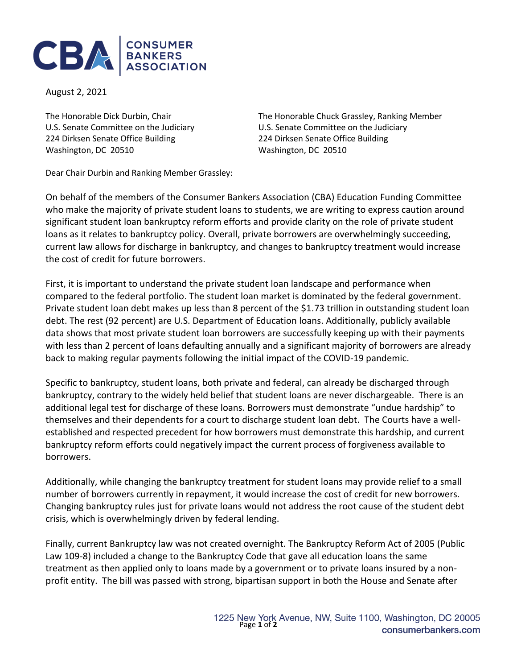

August 2, 2021

224 Dirksen Senate Office Building 224 Dirksen Senate Office Building Washington, DC 20510 Washington, DC 20510

The Honorable Dick Durbin, Chair The Honorable Chuck Grassley, Ranking Member U.S. Senate Committee on the Judiciary U.S. Senate Committee on the Judiciary

Dear Chair Durbin and Ranking Member Grassley:

On behalf of the members of the Consumer Bankers Association (CBA) Education Funding Committee who make the majority of private student loans to students, we are writing to express caution around significant student loan bankruptcy reform efforts and provide clarity on the role of private student loans as it relates to bankruptcy policy. Overall, private borrowers are overwhelmingly succeeding, current law allows for discharge in bankruptcy, and changes to bankruptcy treatment would increase the cost of credit for future borrowers.

First, it is important to understand the private student loan landscape and performance when compared to the federal portfolio. The student loan market is dominated by the federal government. Private student loan debt makes up less than 8 percent of the \$1.73 trillion in outstanding student loan debt. The rest (92 percent) are U.S. Department of Education loans. Additionally, publicly available data shows that most private student loan borrowers are successfully keeping up with their payments with less than 2 percent of loans defaulting annually and a significant majority of borrowers are already back to making regular payments following the initial impact of the COVID-19 pandemic.

Specific to bankruptcy, student loans, both private and federal, can already be discharged through bankruptcy, contrary to the widely held belief that student loans are never dischargeable. There is an additional legal test for discharge of these loans. Borrowers must demonstrate "undue hardship" to themselves and their dependents for a court to discharge student loan debt. The Courts have a wellestablished and respected precedent for how borrowers must demonstrate this hardship, and current bankruptcy reform efforts could negatively impact the current process of forgiveness available to borrowers.

Additionally, while changing the bankruptcy treatment for student loans may provide relief to a small number of borrowers currently in repayment, it would increase the cost of credit for new borrowers. Changing bankruptcy rules just for private loans would not address the root cause of the student debt crisis, which is overwhelmingly driven by federal lending.

Finally, current Bankruptcy law was not created overnight. The Bankruptcy Reform Act of 2005 (Public Law 109-8) included a change to the Bankruptcy Code that gave all education loans the same treatment as then applied only to loans made by a government or to private loans insured by a nonprofit entity. The bill was passed with strong, bipartisan support in both the House and Senate after